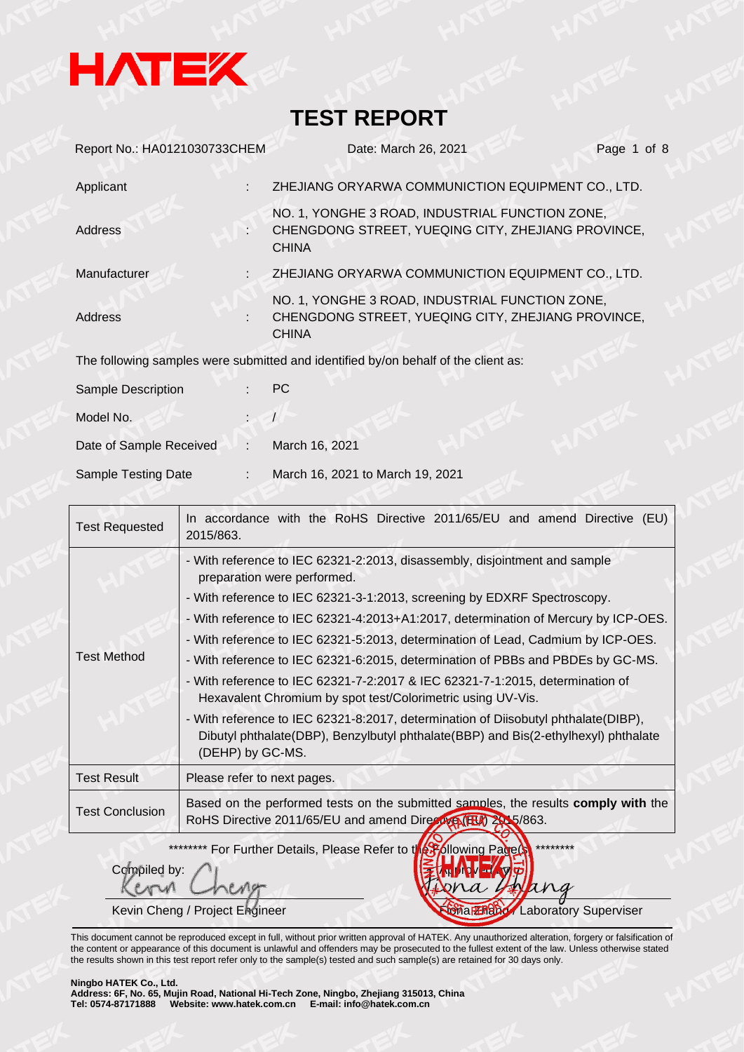

| Report No.: HA0121030733CHEM | Date: March 26, 2021                                                                                                  | Page 1 of 8 |
|------------------------------|-----------------------------------------------------------------------------------------------------------------------|-------------|
| Applicant                    | ZHEJIANG ORYARWA COMMUNICTION EQUIPMENT CO., LTD.                                                                     |             |
| Address                      | NO. 1, YONGHE 3 ROAD, INDUSTRIAL FUNCTION ZONE,<br>CHENGDONG STREET, YUEQING CITY, ZHEJIANG PROVINCE,<br><b>CHINA</b> |             |
| Manufacturer                 | ZHEJIANG ORYARWA COMMUNICTION EQUIPMENT CO., LTD.                                                                     |             |
| <b>Address</b>               | NO. 1, YONGHE 3 ROAD, INDUSTRIAL FUNCTION ZONE,<br>CHENGDONG STREET, YUEQING CITY, ZHEJIANG PROVINCE,<br><b>CHINA</b> |             |
|                              | The following samples were submitted and identified by/on behalf of the client as:                                    |             |
| Sample Description           | <b>PC</b>                                                                                                             |             |
| Model No.                    |                                                                                                                       |             |
| Date of Sample Received<br>÷ | March 16, 2021                                                                                                        |             |
| Sample Testing Date          | March 16, 2021 to March 19, 2021                                                                                      |             |

| <b>Test Requested</b>  | In accordance with the RoHS Directive 2011/65/EU and amend Directive (EU)<br>2015/863.                                                                                                                                                                                                                                                                                                                                                                                                                                                                                                                                                                                                                                                                                                             |
|------------------------|----------------------------------------------------------------------------------------------------------------------------------------------------------------------------------------------------------------------------------------------------------------------------------------------------------------------------------------------------------------------------------------------------------------------------------------------------------------------------------------------------------------------------------------------------------------------------------------------------------------------------------------------------------------------------------------------------------------------------------------------------------------------------------------------------|
| <b>Test Method</b>     | - With reference to IEC 62321-2:2013, disassembly, disjointment and sample<br>preparation were performed.<br>- With reference to IEC 62321-3-1:2013, screening by EDXRF Spectroscopy.<br>- With reference to IEC 62321-4:2013+A1:2017, determination of Mercury by ICP-OES.<br>- With reference to IEC 62321-5:2013, determination of Lead, Cadmium by ICP-OES.<br>- With reference to IEC 62321-6:2015, determination of PBBs and PBDEs by GC-MS.<br>- With reference to IEC 62321-7-2:2017 & IEC 62321-7-1:2015, determination of<br>Hexavalent Chromium by spot test/Colorimetric using UV-Vis.<br>- With reference to IEC 62321-8:2017, determination of Diisobutyl phthalate(DIBP),<br>Dibutyl phthalate(DBP), Benzylbutyl phthalate(BBP) and Bis(2-ethylhexyl) phthalate<br>(DEHP) by GC-MS. |
| <b>Test Result</b>     | Please refer to next pages.                                                                                                                                                                                                                                                                                                                                                                                                                                                                                                                                                                                                                                                                                                                                                                        |
| <b>Test Conclusion</b> | Based on the performed tests on the submitted samples, the results comply with the<br>RoHS Directive 2011/65/EU and amend Directive (FEA) 25, 5/863.                                                                                                                                                                                                                                                                                                                                                                                                                                                                                                                                                                                                                                               |

\*\*\*\*\*\*\*\*\* For Further Details, Please Refer to the Following Page(s) \*\*\*\*\*\*\*\*

Compiled by:

 $\lambda x$  $\mathcal{A}$ Kevin Cheng / Project Engineer Finance Finance Cheng / Laboratory Superviser

This document cannot be reproduced except in full, without prior written approval of HATEK. Any unauthorized alteration, forgery or falsification of the content or appearance of this document is unlawful and offenders may be prosecuted to the fullest extent of the law. Unless otherwise stated the results shown in this test report refer only to the sample(s) tested and such sample(s) are retained for 30 days only.

#### **Ningbo HATEK Co., Ltd.**

**Address: 6F, No. 65, Mujin Road, National Hi-Tech Zone, Ningbo, Zhejiang 315013, China Tel: 0574-87171888 Website: www.hatek.com.cn E-mail: info@hatek.com.cn**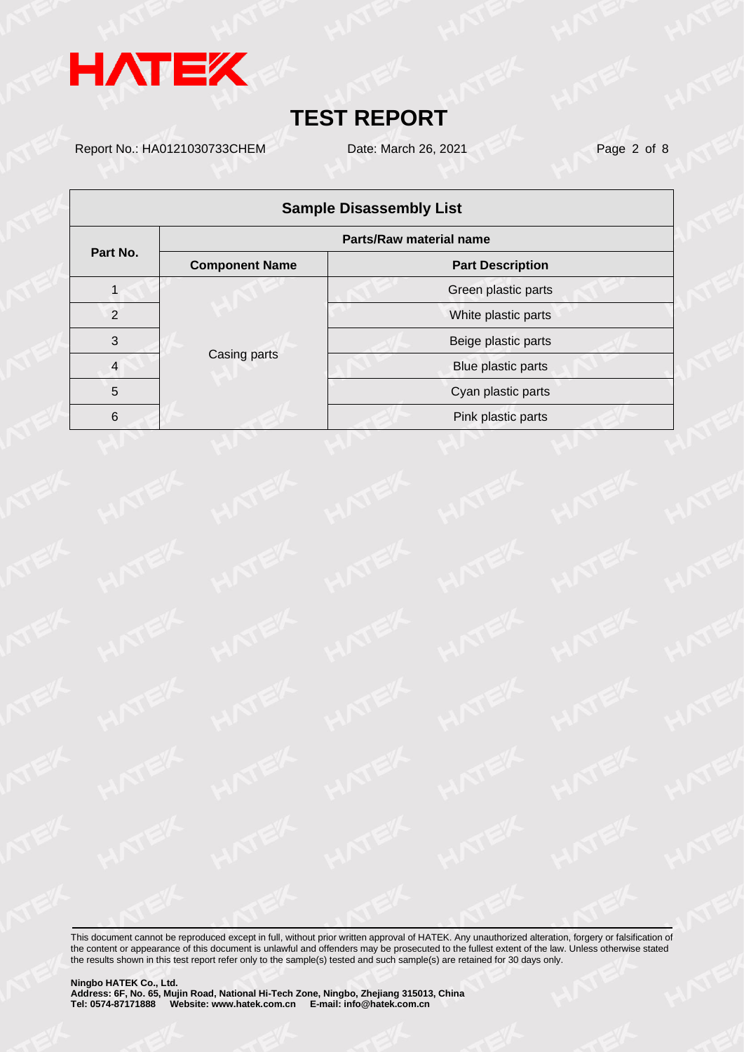

Report No.: HA0121030733CHEM Date: March 26, 2021 Page 2 of 8

| <b>Sample Disassembly List</b> |                       |                         |  |  |  |  |
|--------------------------------|-----------------------|-------------------------|--|--|--|--|
| Parts/Raw material name        |                       |                         |  |  |  |  |
| Part No.                       | <b>Component Name</b> | <b>Part Description</b> |  |  |  |  |
|                                |                       | Green plastic parts     |  |  |  |  |
| $\mathcal{P}$                  | Casing parts          | White plastic parts     |  |  |  |  |
| 3                              |                       | Beige plastic parts     |  |  |  |  |
| $\overline{4}$                 |                       | Blue plastic parts      |  |  |  |  |
| 5                              |                       | Cyan plastic parts      |  |  |  |  |
| 6                              |                       | Pink plastic parts      |  |  |  |  |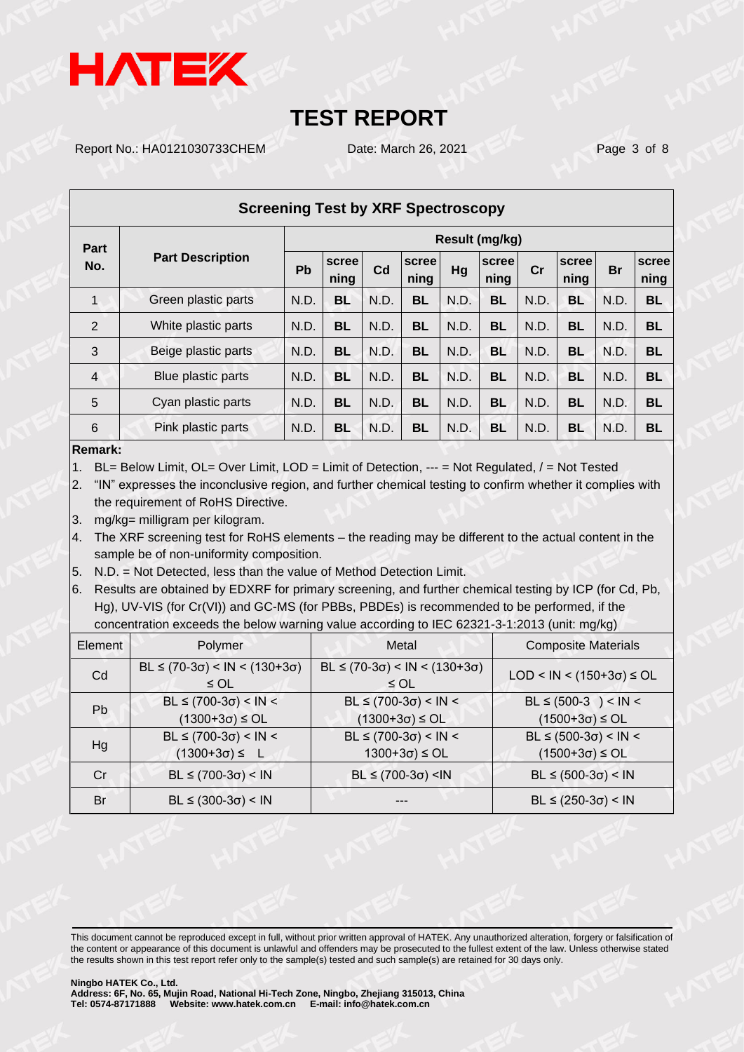

Report No.: HA0121030733CHEM Date: March 26, 2021 Page 3 of 8

| <b>Screening Test by XRF Spectroscopy</b> |                         |                |               |      |               |      |               |      |               |                                                                          |               |
|-------------------------------------------|-------------------------|----------------|---------------|------|---------------|------|---------------|------|---------------|--------------------------------------------------------------------------|---------------|
| Part                                      |                         | Result (mg/kg) |               |      |               |      |               |      |               |                                                                          |               |
| No.                                       | <b>Part Description</b> | <b>Pb</b>      | scree<br>ning | Cd   | scree<br>ning | Hg   | scree<br>ning | cr   | scree<br>ning | <b>Br</b><br><b>BL</b><br>N.D.<br>N.D.<br><b>BL</b><br>N.D.<br><b>BL</b> | scree<br>ning |
| $\mathbf{1}$                              | Green plastic parts     | N.D.           | <b>BL</b>     | N.D. | <b>BL</b>     | N.D. | <b>BL</b>     | N.D. | <b>BL</b>     |                                                                          |               |
| 2                                         | White plastic parts     | N.D.           | <b>BL</b>     | N.D. | <b>BL</b>     | N.D. | <b>BL</b>     | N.D. | BL            |                                                                          |               |
| 3                                         | Beige plastic parts     | N.D.           | <b>BL</b>     | N.D. | <b>BL</b>     | N.D. | <b>BL</b>     | N.D. | <b>BL</b>     |                                                                          |               |
| $\overline{4}$                            | Blue plastic parts      | N.D.           | <b>BL</b>     | N.D. | <b>BL</b>     | N.D. | <b>BL</b>     | N.D. | BL            | N.D.                                                                     | <b>BL</b>     |
| 5                                         | Cyan plastic parts      | N.D.           | <b>BL</b>     | N.D. | <b>BL</b>     | N.D. | <b>BL</b>     | N.D. | <b>BL</b>     | N.D.                                                                     | <b>BL</b>     |
| 6                                         | Pink plastic parts      | N.D.           | <b>BL</b>     | N.D. | <b>BL</b>     | N.D. | <b>BL</b>     | N.D. | BL            | N.D.                                                                     | <b>BL</b>     |
|                                           |                         |                |               |      |               |      |               |      |               |                                                                          |               |

#### **Remark:**

1. BL= Below Limit, OL= Over Limit, LOD = Limit of Detection, --- = Not Regulated, / = Not Tested

2. "IN" expresses the inconclusive region, and further chemical testing to confirm whether it complies with the requirement of RoHS Directive.

3. mg/kg= milligram per kilogram.

4. The XRF screening test for RoHS elements – the reading may be different to the actual content in the sample be of non-uniformity composition.

5. N.D. = Not Detected, less than the value of Method Detection Limit.

6. Results are obtained by EDXRF for primary screening, and further chemical testing by ICP (for Cd, Pb, Hg), UV-VIS (for Cr(VI)) and GC-MS (for PBBs, PBDEs) is recommended to be performed, if the concentration exceeds the below warning value according to IEC 62321-3-1:2013 (unit: mg/kg)

| Element | Polymer                                                 | Metal                                                                                    | <b>Composite Materials</b>                           |
|---------|---------------------------------------------------------|------------------------------------------------------------------------------------------|------------------------------------------------------|
| Cd      | $BL \le (70-3\sigma) < IN < (130+3\sigma)$<br>$\leq$ OL | $BL \le (70-3\sigma) < IN < (130+3\sigma)$<br>$\leq$ OL                                  | $LOD < IN < (150+3\sigma) \leq OL$                   |
| Pb.     | $BL ≤ (700-3σ) < IN <$<br>$(1300+3\sigma) \leq O L$     | $BL ≤ (700-3σ) < IN <$<br>$(1300+3\sigma) \leq O L$                                      | $BL \le (500-3) < IN <$<br>$(1500+3\sigma) \leq O L$ |
| Hg      | $BL ≤ (700-3σ) < IN <$<br>$(1300+3\sigma) \leq L$       | $BL ≤ (700-3σ) < IN <$<br>$1300+3\sigma$ $\leq$ OL                                       | $BL ≤ (500-3σ) < IN <$<br>$(1500+3\sigma) \leq O L$  |
| Cr      | $BL ≤ (700-3σ) < IN$                                    | BL $\leq$ (700-3 $\sigma$ ) <in< td=""><td><math>BL ≤ (500-3σ) &lt; IN</math></td></in<> | $BL ≤ (500-3σ) < IN$                                 |
| Br      | $BL ≤ (300-3σ) < IN$                                    |                                                                                          | $BL ≤ (250-3σ) < IN$                                 |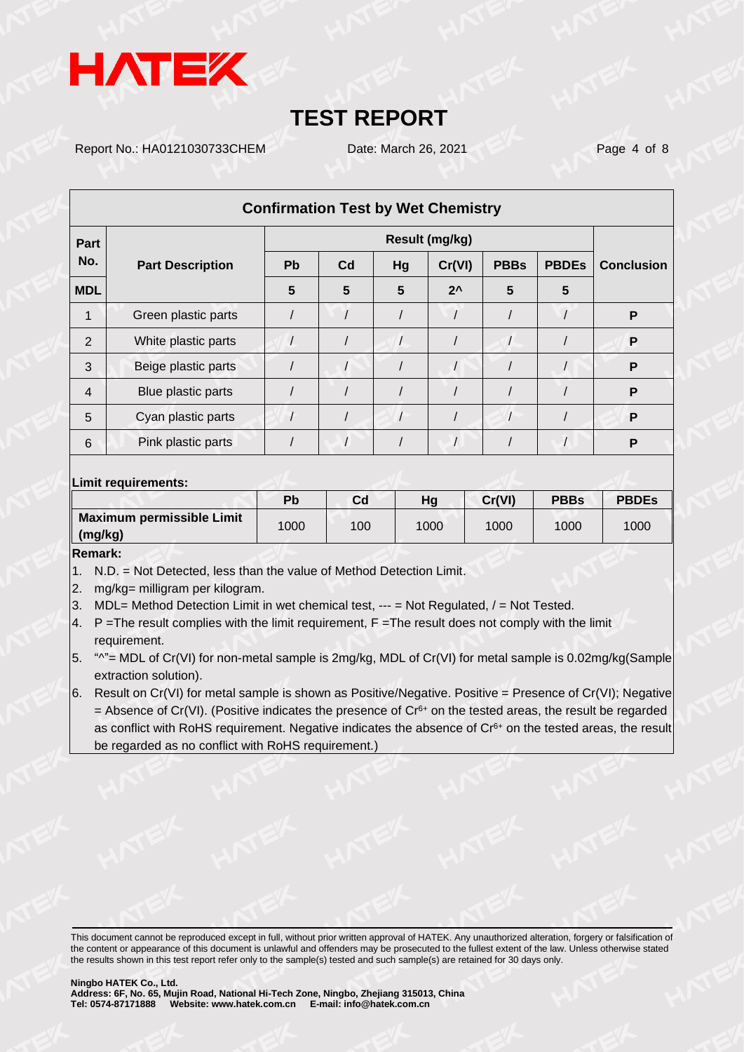

Report No.: HA0121030733CHEM Date: March 26, 2021 Page 4 of 8

|                | <b>Confirmation Test by Wet Chemistry</b> |           |                |    |               |             |              |                   |
|----------------|-------------------------------------------|-----------|----------------|----|---------------|-------------|--------------|-------------------|
| Part           |                                           |           | Result (mg/kg) |    |               |             |              |                   |
| No.            | <b>Part Description</b>                   | <b>Pb</b> | C <sub>d</sub> | Hg | Cr(VI)        | <b>PBBs</b> | <b>PBDEs</b> | <b>Conclusion</b> |
| <b>MDL</b>     |                                           | 5         | 5              | 5  | $2^{\lambda}$ | 5           | 5            |                   |
|                | Green plastic parts                       |           |                |    |               |             |              | P                 |
| 2              | White plastic parts                       |           |                |    |               |             |              | P                 |
| 3              | Beige plastic parts                       |           |                |    |               |             |              | P                 |
| $\overline{4}$ | Blue plastic parts                        |           |                |    |               |             |              | P                 |
| 5              | Cyan plastic parts                        |           |                |    |               |             |              | P                 |
| 6              | Pink plastic parts                        |           |                |    |               |             |              | P                 |

#### **Limit requirements:**

|                           | Pb   | Cd  | Hg   | Cr(VI) | <b>PBBs</b> | <b>PBDEs</b> |
|---------------------------|------|-----|------|--------|-------------|--------------|
| Maximum permissible Limit | 1000 | 100 | 1000 | 1000   | 1000        | 1000         |
| $\parallel$ (mg/kg)       |      |     |      |        |             |              |

### **Remark:**

- 1. N.D. = Not Detected, less than the value of Method Detection Limit.
- 2. mg/kg= milligram per kilogram.
- 3. MDL= Method Detection Limit in wet chemical test, --- = Not Regulated, / = Not Tested.
- 4. P = The result complies with the limit requirement, F = The result does not comply with the limit requirement.
- 5. " $^{\prime\prime}$ "= MDL of Cr(VI) for non-metal sample is 2mg/kg, MDL of Cr(VI) for metal sample is 0.02mg/kg(Sample extraction solution).
- 6. Result on  $Cr(VI)$  for metal sample is shown as Positive/Negative. Positive = Presence of  $Cr(VI)$ ; Negative = Absence of Cr(VI). (Positive indicates the presence of  $Cr<sup>6+</sup>$  on the tested areas, the result be regarded as conflict with RoHS requirement. Negative indicates the absence of Cr<sup>6+</sup> on the tested areas, the result be regarded as no conflict with RoHS requirement.)

This document cannot be reproduced except in full, without prior written approval of HATEK. Any unauthorized alteration, forgery or falsification of the content or appearance of this document is unlawful and offenders may be prosecuted to the fullest extent of the law. Unless otherwise stated the results shown in this test report refer only to the sample(s) tested and such sample(s) are retained for 30 days only.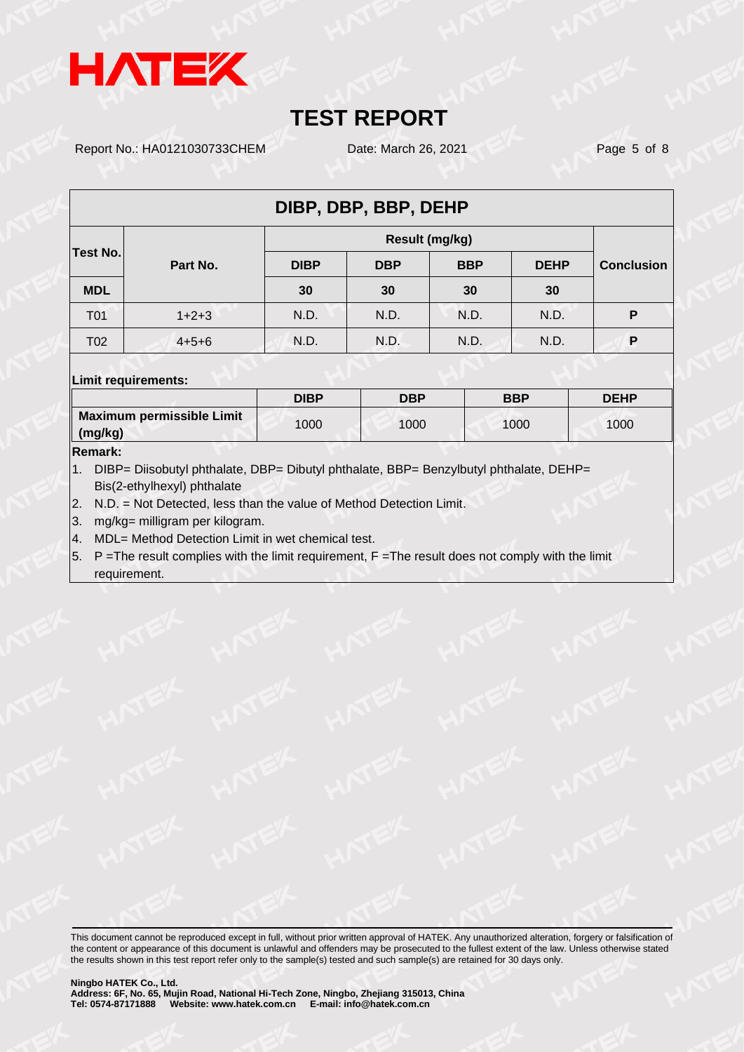

Report No.: HA0121030733CHEM Date: March 26, 2021 Page 5 of 8

| DIBP, DBP, BBP, DEHP |             |             |            |            |             |                   |  |  |
|----------------------|-------------|-------------|------------|------------|-------------|-------------------|--|--|
|                      |             |             |            |            |             |                   |  |  |
| Test No.             | Part No.    | <b>DIBP</b> | <b>DBP</b> | <b>BBP</b> | <b>DEHP</b> | <b>Conclusion</b> |  |  |
| <b>MDL</b>           |             | 30          | 30         | 30         | 30          |                   |  |  |
| T <sub>0</sub> 1     | $1+2+3$     | N.D.        | N.D.       | N.D.       | N.D.        | P                 |  |  |
| T <sub>02</sub>      | $4 + 5 + 6$ | N.D.        | N.D.       | N.D.       | N.D.        | P                 |  |  |
|                      |             |             |            |            |             |                   |  |  |

#### **Limit requirements:**

|                                                  | <b>DIBP</b> | <b>DBP</b> | <b>BBP</b> | <b>DEHP</b> |
|--------------------------------------------------|-------------|------------|------------|-------------|
| Maximum permissible Limit<br>$\parallel$ (mg/kg) | 1000        | 1000       | 1000       | 1000        |

#### **Remark:**

1. DIBP= Diisobutyl phthalate, DBP= Dibutyl phthalate, BBP= Benzylbutyl phthalate, DEHP= Bis(2-ethylhexyl) phthalate

2. N.D. = Not Detected, less than the value of Method Detection Limit.

3. mg/kg= milligram per kilogram.

4. MDL= Method Detection Limit in wet chemical test.

 $5.$  P = The result complies with the limit requirement,  $F =$  The result does not comply with the limit requirement.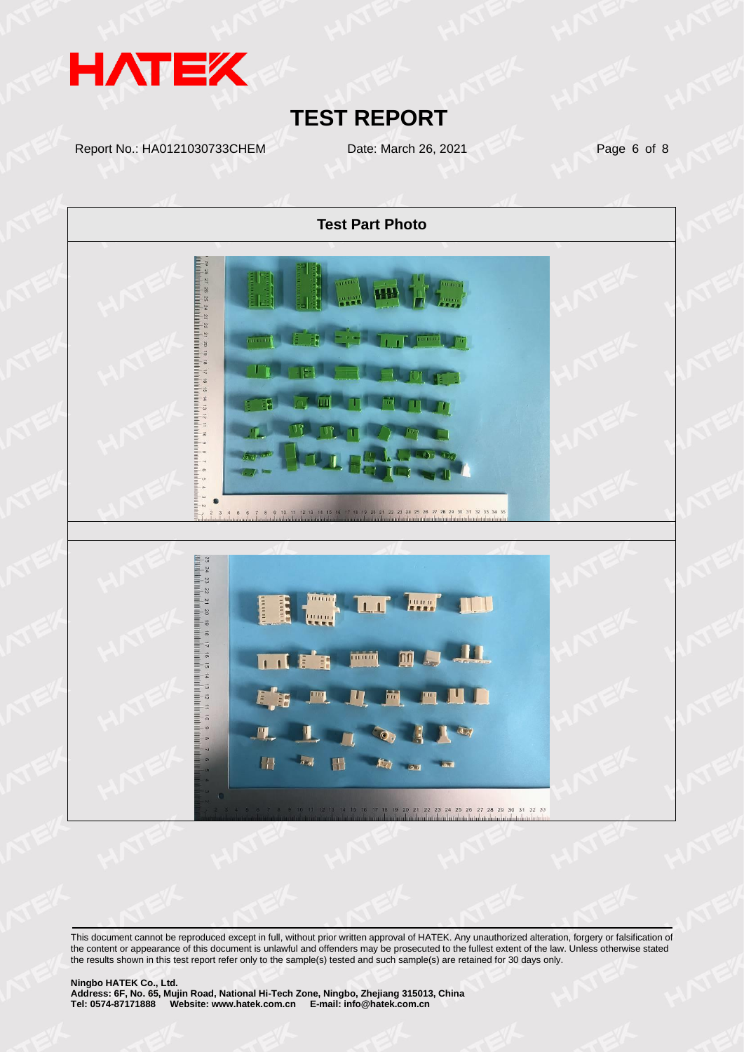

Report No.: HA0121030733CHEM Date: March 26, 2021 Page 6 of 8

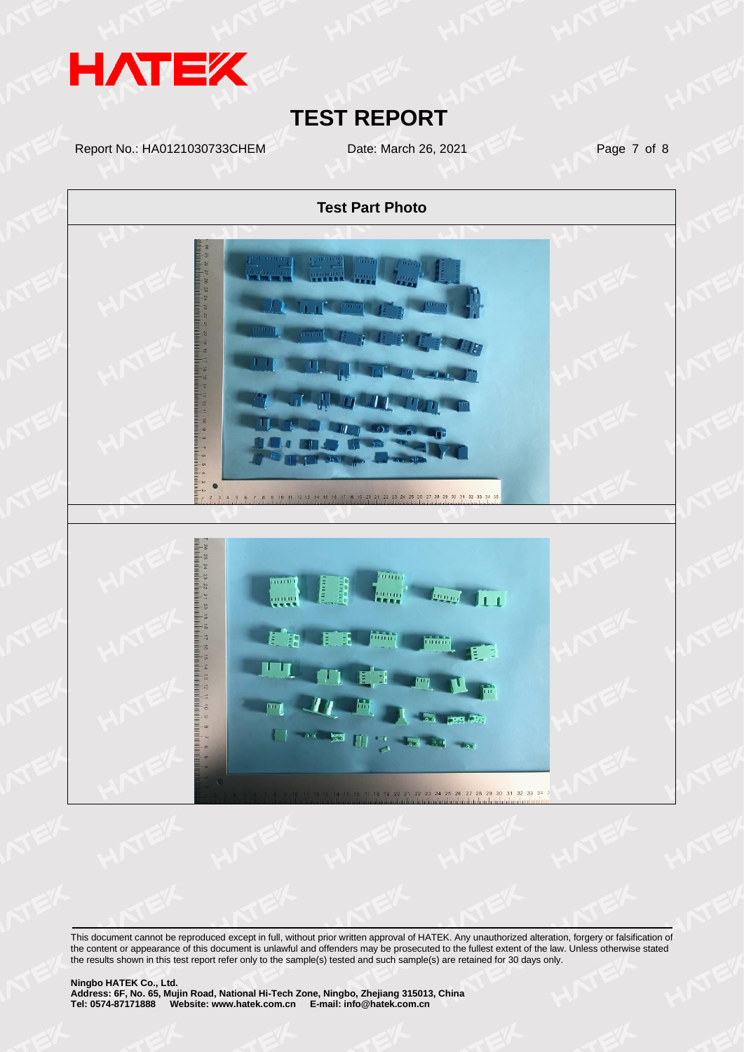

Report No.: HA0121030733CHEM Date: March 26, 2021 Page 7 of 8